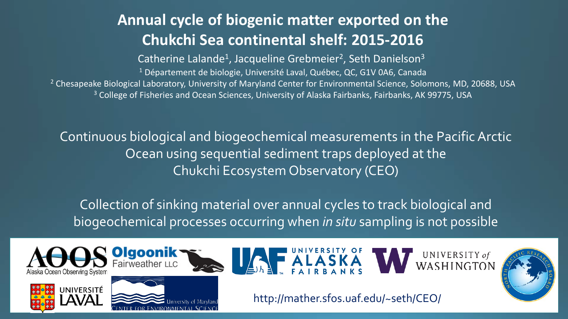### **Annual cycle of biogenic matter exported on the Chukchi Sea continental shelf: 2015-2016**

Catherine Lalande<sup>1</sup>, Jacqueline Grebmeier<sup>2</sup>, Seth Danielson<sup>3</sup> <sup>1</sup> Département de biologie, Université Laval, Québec, QC, G1V 0A6, Canada <sup>2</sup> Chesapeake Biological Laboratory, University of Maryland Center for Environmental Science, Solomons, MD, 20688, USA <sup>3</sup> College of Fisheries and Ocean Sciences, University of Alaska Fairbanks, Fairbanks, AK 99775, USA

Continuous biological and biogeochemical measurements in the Pacific Arctic Ocean using sequential sediment traps deployed at the Chukchi Ecosystem Observatory (CEO)

Collection of sinking material over annual cycles to track biological and biogeochemical processes occurring when *in situ* sampling is not possible







airweather LLC







http://mather.sfos.uaf.edu/~seth/CEO/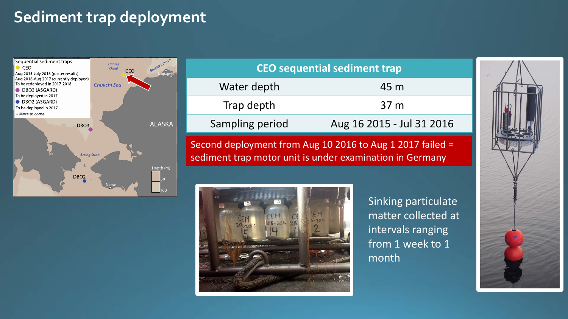### **Sediment trap deployment**



| <b>CEO</b> sequential sediment trap |                           |
|-------------------------------------|---------------------------|
| Water depth                         | 45 m                      |
| Trap depth                          | 37 <sub>m</sub>           |
| Sampling period                     | Aug 16 2015 - Jul 31 2016 |
|                                     |                           |

Second deployment from Aug 10 2016 to Aug 1 2017 failed = sediment trap motor unit is under examination in Germany



Sinking particulate matter collected at intervals ranging from 1 week to 1 month

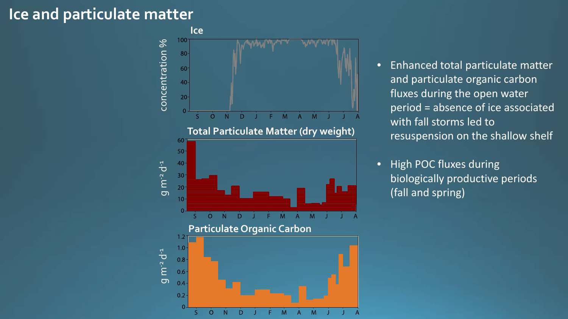#### **Ice and particulate matter**



- Enhanced total particulate matter and particulate organic carbon fluxes during the open water period = absence of ice associated with fall storms led to resuspension on the shallow shelf
- High POC fluxes during biologically productive periods (fall and spring)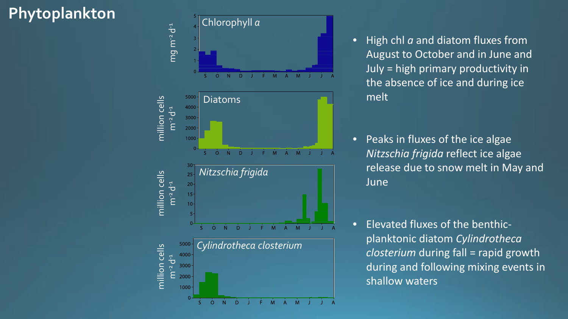# **Phytoplankton**



- High chl *a* and diatom fluxes from August to October and in June and July = high primary productivity in the absence of ice and during ice melt
- Peaks in fluxes of the ice algae *Nitzschia frigida* reflect ice algae release due to snow melt in May and June
- Elevated fluxes of the benthic planktonic diatom *Cylindrotheca closterium* during fall = rapid growth during and following mixing events in shallow waters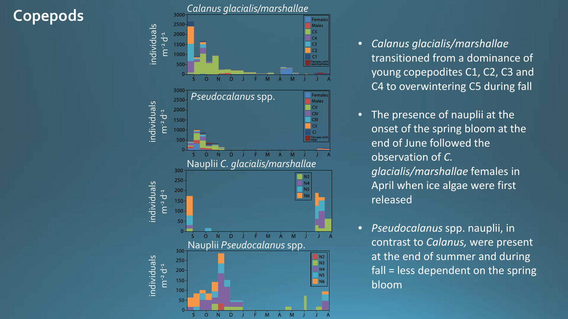### **Copepods**



- *Calanus glacialis/marshallae* transitioned from a dominance of young copepodites C1, C2, C3 and C4 to overwintering C5 during fall
- The presence of nauplii at the onset of the spring bloom at the end of June followed the observation of *C. glacialis/marshallae* females in April when ice algae were first released
- *Pseudocalanus* spp. nauplii, in contrast to *Calanus,* were present at the end of summer and during fall = less dependent on the spring bloom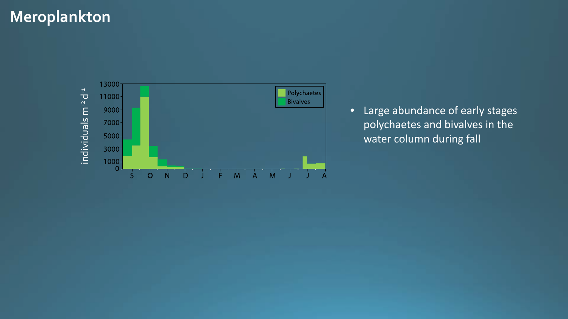### **Meroplankton**



• Large abundance of early stages polychaetes and bivalves in the water column during fall